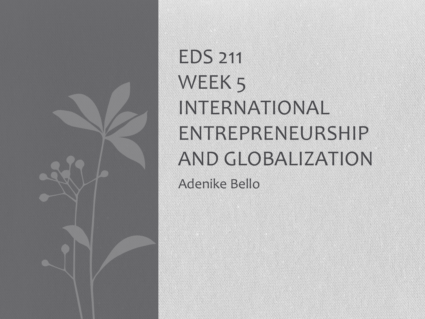

EDS 211 WEEK<sub>5</sub> INTERNATIONAL ENTREPRENEURSHIP AND GLOBALIZATION

Adenike Bello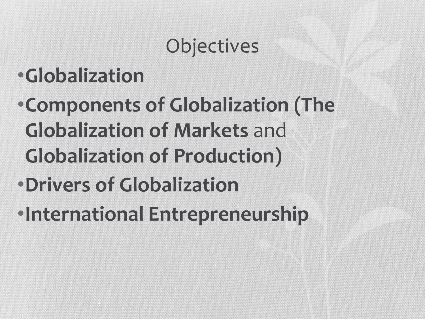## **Objectives**

## •**Globalization**

- •**Components of Globalization (The Globalization of Markets** and **Globalization of Production)**
- •**Drivers of Globalization**
- •**International Entrepreneurship**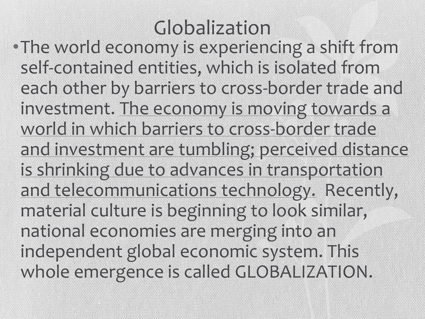### Globalization

•The world economy is experiencing a shift from self-contained entities, which is isolated from each other by barriers to cross-border trade and investment. The economy is moving towards a world in which barriers to cross-border trade and investment are tumbling; perceived distance is shrinking due to advances in transportation and telecommunications technology. Recently, material culture is beginning to look similar, national economies are merging into an independent global economic system. This whole emergence is called GLOBALIZATION.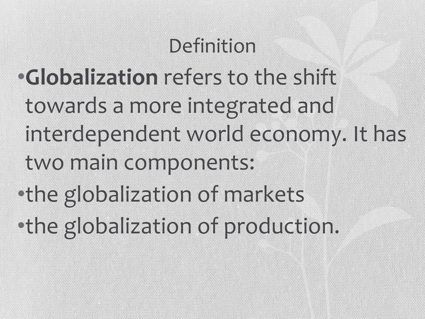#### Definition

- •**Globalization** refers to the shift towards a more integrated and interdependent world economy. It has two main components: •the globalization of markets
- •the globalization of production.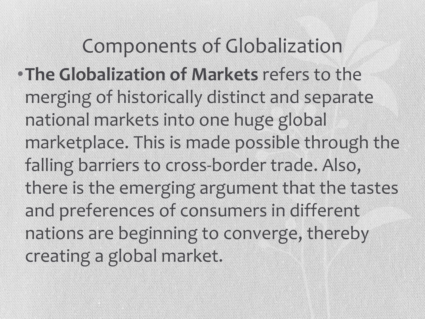Components of Globalization •**The Globalization of Markets** refers to the merging of historically distinct and separate national markets into one huge global marketplace. This is made possible through the falling barriers to cross-border trade. Also, there is the emerging argument that the tastes and preferences of consumers in different nations are beginning to converge, thereby creating a global market.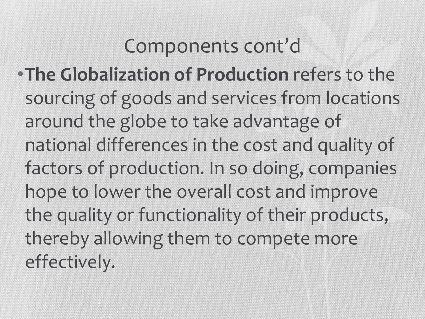#### Components cont'd

•**The Globalization of Production** refers to the sourcing of goods and services from locations around the globe to take advantage of national differences in the cost and quality of factors of production. In so doing, companies hope to lower the overall cost and improve the quality or functionality of their products, thereby allowing them to compete more effectively.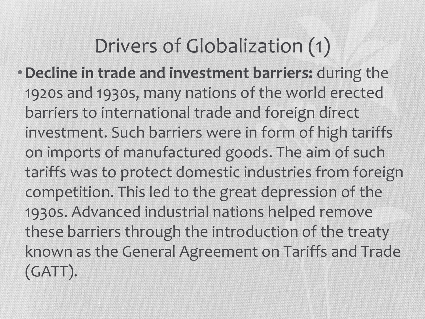### Drivers of Globalization (1)

•**Decline in trade and investment barriers:** during the 1920s and 1930s, many nations of the world erected barriers to international trade and foreign direct investment. Such barriers were in form of high tariffs on imports of manufactured goods. The aim of such tariffs was to protect domestic industries from foreign competition. This led to the great depression of the 1930s. Advanced industrial nations helped remove these barriers through the introduction of the treaty known as the General Agreement on Tariffs and Trade (GATT).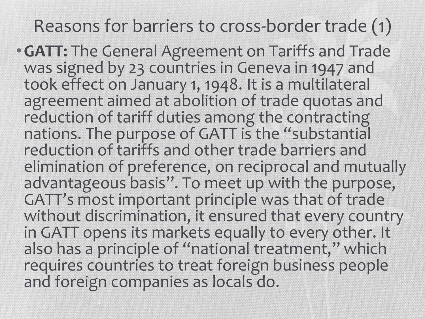#### Reasons for barriers to cross-border trade (1)

•**GATT:** The General Agreement on Tariffs and Trade was signed by 23 countries in Geneva in 1947 and took effect on January 1, 1948. It is a multilateral agreement aimed at abolition of trade quotas and reduction of tariff duties among the contracting nations. The purpose of GATT is the "substantial reduction of tariffs and other trade barriers and elimination of preference, on reciprocal and mutually advantageous basis". To meet up with the purpose, GATT's most important principle was that of trade without discrimination, it ensured that every country in GATT opens its markets equally to every other. It also has a principle of "national treatment," which requires countries to treat foreign business people and foreign companies as locals do.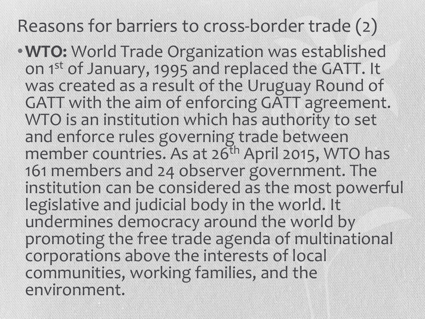Reasons for barriers to cross-border trade (2)

•**WTO:** World Trade Organization was established on 1st of January, 1995 and replaced the GATT. It was created as a result of the Uruguay Round of GATT with the aim of enforcing GATT agreement. WTO is an institution which has authority to set and enforce rules governing trade between member countries. As at 26<sup>th</sup> April 2015, WTO has 161 members and 24 observer government. The institution can be considered as the most powerful legislative and judicial body in the world. It undermines democracy around the world by promoting the free trade agenda of multinational corporations above the interests of local communities, working families, and the environment.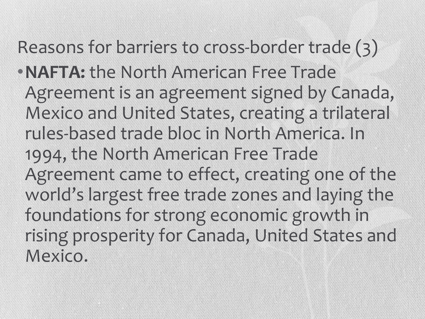#### Reasons for barriers to cross-border trade (3)

•**NAFTA:** the North American Free Trade Agreement is an agreement signed by Canada, Mexico and United States, creating a trilateral rules-based trade bloc in North America. In 1994, the North American Free Trade Agreement came to effect, creating one of the world's largest free trade zones and laying the foundations for strong economic growth in rising prosperity for Canada, United States and Mexico.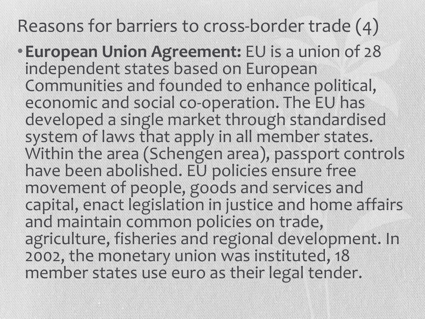Reasons for barriers to cross-border trade (4)

•**European Union Agreement:** EU is a union of 28 independent states based on European Communities and founded to enhance political, economic and social co-operation. The EU has developed a single market through standardised system of laws that apply in all member states. Within the area (Schengen area), passport controls have been abolished. EU policies ensure free movement of people, goods and services and capital, enact legislation in justice and home affairs and maintain common policies on trade, agriculture, fisheries and regional development. In 2002, the monetary union was instituted, 18 member states use euro as their legal tender.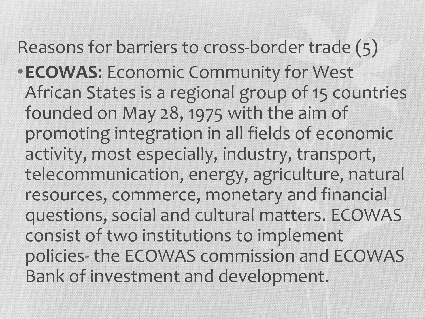Reasons for barriers to cross-border trade (5) •**ECOWAS**: Economic Community for West African States is a regional group of 15 countries founded on May 28, 1975 with the aim of promoting integration in all fields of economic activity, most especially, industry, transport, telecommunication, energy, agriculture, natural resources, commerce, monetary and financial questions, social and cultural matters. ECOWAS consist of two institutions to implement policies- the ECOWAS commission and ECOWAS Bank of investment and development.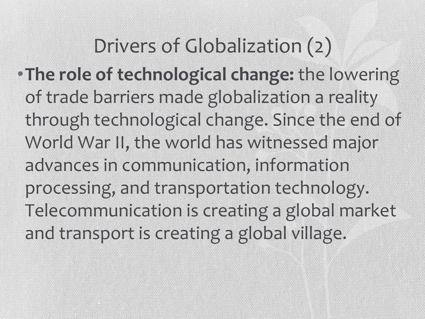Drivers of Globalization (2) •**The role of technological change:** the lowering of trade barriers made globalization a reality through technological change. Since the end of World War II, the world has witnessed major advances in communication, information processing, and transportation technology. Telecommunication is creating a global market and transport is creating a global village.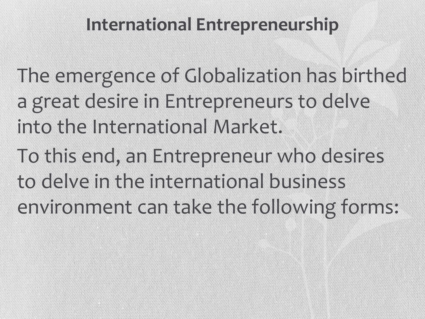#### **International Entrepreneurship**

The emergence of Globalization has birthed a great desire in Entrepreneurs to delve into the International Market.

To this end, an Entrepreneur who desires to delve in the international business environment can take the following forms: